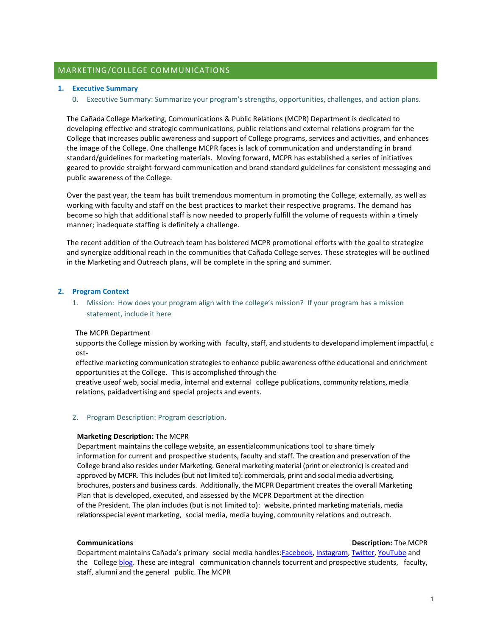# MARKETING/COLLEGE COMMUNICATIONS

## **1. Executive Summary**

0. Executive Summary: Summarize your program's strengths, opportunities, challenges, and action plans.

The Cañada College Marketing, Communications & Public Relations (MCPR) Department is dedicated to developing effective and strategic communications, public relations and external relations program for the College that increases public awareness and support of College programs, services and activities, and enhances the image of the College. One challenge MCPR faces is lack of communication and understanding in brand standard/guidelines for marketing materials. Moving forward, MCPR has established a series of initiatives geared to provide straight-forward communication and brand standard guidelines for consistent messaging and public awareness of the College.

Over the past year, the team has built tremendous momentum in promoting the College, externally, as well as working with faculty and staff on the best practices to market their respective programs. The demand has become so high that additional staff is now needed to properly fulfill the volume of requests within a timely manner; inadequate staffing is definitely a challenge.

The recent addition of the Outreach team has bolstered MCPR promotional efforts with the goal to strategize and synergize additional reach in the communities that Cañada College serves. These strategies will be outlined in the Marketing and Outreach plans, will be complete in the spring and summer.

## **2. Program Context**

1. Mission: How does your program align with the college's mission? If your program has a mission statement, include it here

## The MCPR Department

supports the College mission by working with faculty, staff, and students to developand implement impactful, c ost-

effective marketing communication strategies to enhance public awareness ofthe educational and enrichment opportunities at the College. This is accomplished through the 

creative useof web, social media, internal and external college publications, community relations, media relations, paidadvertising and special projects and events.

## 2. Program Description: Program description.

## **Marketing Description:** The MCPR

Department maintains the college website, an essentialcommunications tool to share timely information for current and prospective students, faculty and staff. The creation and preservation of the College brand also resides under Marketing. General marketing material (print or electronic) is created and approved by MCPR. This includes (but not limited to): commercials, print and social media advertising, brochures, posters and business cards. Additionally, the MCPR Department creates the overall Marketing Plan that is developed, executed, and assessed by the MCPR Department at the direction of the President. The plan includes (but is not limited to): website, printed marketing materials, media relationsspecial event marketing, social media, media buying, community relations and outreach.

#### **Communications Communications Description:** The MCPR

Department maintains Cañada's primary social media handles:Facebook, Instagram, Twitter, YouTube and the College blog. These are integral communication channels tocurrent and prospective students, faculty, staff, alumni and the general public. The MCPR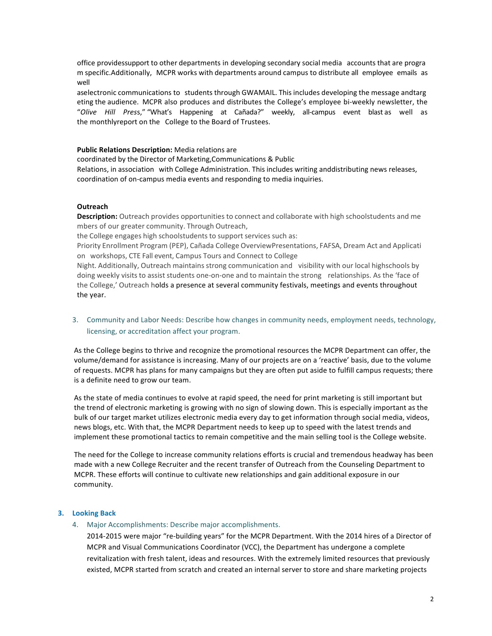office providessupport to other departments in developing secondary social media accounts that are progra m specific.Additionally, MCPR works with departments around campus to distribute all employee emails as well 

aselectronic communications to students through GWAMAIL. This includes developing the message andtarg eting the audience. MCPR also produces and distributes the College's employee bi-weekly newsletter, the "*Olive Hill Pres*s," "What's Happening at Cañada?" weekly, all-campus event blast as well as the monthlyreport on the College to the Board of Trustees.

## **Public Relations Description:** Media relations are

coordinated by the Director of Marketing,Communications & Public 

Relations, in association with College Administration. This includes writing anddistributing news releases, coordination of on-campus media events and responding to media inquiries.

## **Outreach**

**Description:** Outreach provides opportunities to connect and collaborate with high schoolstudents and me mbers of our greater community. Through Outreach,

the College engages high schoolstudents to support services such as:

Priority Enrollment Program (PEP), Cañada College OverviewPresentations, FAFSA, Dream Act and Applicati on workshops, CTE Fall event, Campus Tours and Connect to College

Night. Additionally, Outreach maintains strong communication and visibility with our local highschools by doing weekly visits to assist students one-on-one and to maintain the strong relationships. As the 'face of the College,' Outreach holds a presence at several community festivals, meetings and events throughout the year.

3. Community and Labor Needs: Describe how changes in community needs, employment needs, technology, licensing, or accreditation affect your program.

As the College begins to thrive and recognize the promotional resources the MCPR Department can offer, the volume/demand for assistance is increasing. Many of our projects are on a 'reactive' basis, due to the volume of requests. MCPR has plans for many campaigns but they are often put aside to fulfill campus requests; there is a definite need to grow our team.

As the state of media continues to evolve at rapid speed, the need for print marketing is still important but the trend of electronic marketing is growing with no sign of slowing down. This is especially important as the bulk of our target market utilizes electronic media every day to get information through social media, videos, news blogs, etc. With that, the MCPR Department needs to keep up to speed with the latest trends and implement these promotional tactics to remain competitive and the main selling tool is the College website.

The need for the College to increase community relations efforts is crucial and tremendous headway has been made with a new College Recruiter and the recent transfer of Outreach from the Counseling Department to MCPR. These efforts will continue to cultivate new relationships and gain additional exposure in our community.

# **3. Looking Back**

4. Major Accomplishments: Describe major accomplishments.

2014-2015 were major "re-building years" for the MCPR Department. With the 2014 hires of a Director of MCPR and Visual Communications Coordinator (VCC), the Department has undergone a complete revitalization with fresh talent, ideas and resources. With the extremely limited resources that previously existed, MCPR started from scratch and created an internal server to store and share marketing projects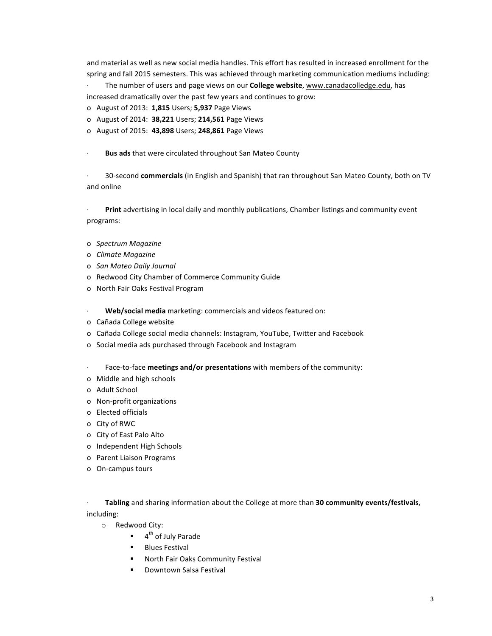and material as well as new social media handles. This effort has resulted in increased enrollment for the spring and fall 2015 semesters. This was achieved through marketing communication mediums including:

The number of users and page views on our **College website**, www.canadacolledge.edu, has increased dramatically over the past few years and continues to grow:

- o August of 2013: **1,815** Users; **5,937** Page Views
- o August of 2014: **38,221** Users; **214,561** Page Views
- o August of 2015: **43,898** Users; **248,861** Page Views

**Bus ads** that were circulated throughout San Mateo County

· 30-second **commercials** (in English and Spanish) that ran throughout San Mateo County, both on TV and online

**Print** advertising in local daily and monthly publications, Chamber listings and community event programs:

- o *Spectrum Magazine*
- o *Climate Magazine*
- o *San Mateo Daily Journal*
- o Redwood City Chamber of Commerce Community Guide
- o North Fair Oaks Festival Program
- **Web/social media** marketing: commercials and videos featured on:
- o Cañada College website
- o Cañada College social media channels: Instagram, YouTube, Twitter and Facebook
- o Social media ads purchased through Facebook and Instagram
- · Face-to-face **meetings and/or presentations** with members of the community:
- o Middle and high schools
- o Adult School
- o Non-profit organizations
- o Elected officials
- o City of RWC
- o City of East Palo Alto
- o Independent High Schools
- o Parent Liaison Programs
- o On-campus tours

Tabling and sharing information about the College at more than 30 community events/festivals, including:

- o Redwood City:
	- $\blacksquare$  4<sup>th</sup> of July Parade
	- **Blues Festival**
	- **"** North Fair Oaks Community Festival
	- **.** Downtown Salsa Festival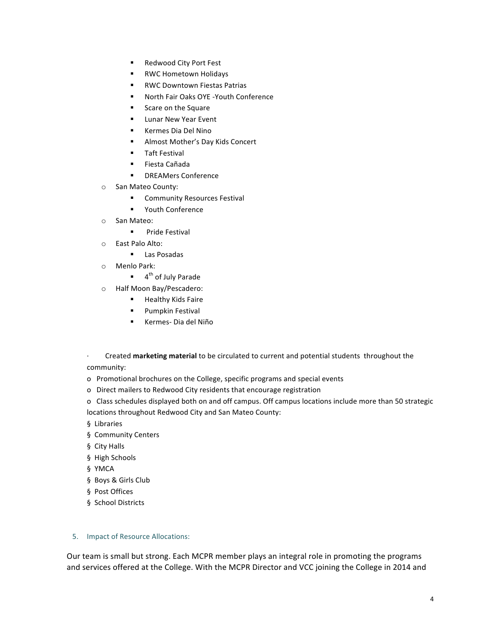- Redwood City Port Fest
- **EXEC** Hometown Holidays
- RWC Downtown Fiestas Patrias
- **"** North Fair Oaks OYE -Youth Conference
- **EXEC** Scare on the Square
- **E** Lunar New Year Event
- **E** Kermes Dia Del Nino
- **E** Almost Mother's Day Kids Concert
- **Taft Festival**
- ! Fiesta Cañada
- **■** DREAMers Conference
- o San Mateo County:
	- **E** Community Resources Festival
	- **•** Youth Conference
- o San Mateo:
	- **E** Pride Festival
- o East Palo Alto:
	- **E** Las Posadas
- o Menlo Park:
	- $\blacksquare$  4<sup>th</sup> of July Parade
- o Half Moon Bay/Pescadero:
	- **EXECUTE:** Healthy Kids Faire
	- **·** Pumpkin Festival
	- ! Kermes- Dia del Niño
- · Created marketing material to be circulated to current and potential students throughout the community:
- o Promotional brochures on the College, specific programs and special events
- o Direct mailers to Redwood City residents that encourage registration
- o Class schedules displayed both on and off campus. Off campus locations include more than 50 strategic locations throughout Redwood City and San Mateo County:
- § Libraries
- § Community Centers
- § City Halls
- § High Schools
- § YMCA
- § Boys & Girls Club
- § Post Offices
- § School Districts

# 5. Impact of Resource Allocations:

Our team is small but strong. Each MCPR member plays an integral role in promoting the programs and services offered at the College. With the MCPR Director and VCC joining the College in 2014 and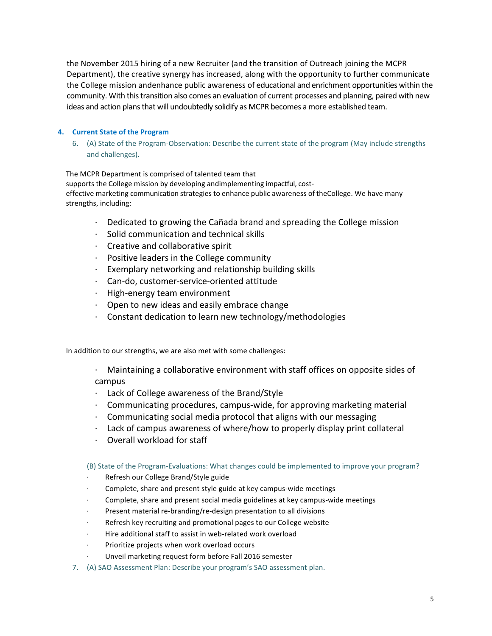the November 2015 hiring of a new Recruiter (and the transition of Outreach joining the MCPR Department), the creative synergy has increased, along with the opportunity to further communicate the College mission andenhance public awareness of educational and enrichment opportunities within the community. With this transition also comes an evaluation of current processes and planning, paired with new ideas and action plans that will undoubtedly solidify as MCPR becomes a more established team.

# **4. Current State of the Program**

6. (A) State of the Program-Observation: Describe the current state of the program (May include strengths and challenges).

The MCPR Department is comprised of talented team that supports the College mission by developing andimplementing impactful, costeffective marketing communication strategies to enhance public awareness of theCollege. We have many strengths, including:

- $\cdot$  Dedicated to growing the Cañada brand and spreading the College mission
- $\cdot$  Solid communication and technical skills
- $\cdot$  Creative and collaborative spirit
- $\cdot$  Positive leaders in the College community
- Exemplary networking and relationship building skills
- · Can-do, customer-service-oriented attitude
- · High-energy team environment
- $\cdot$  Open to new ideas and easily embrace change
- $\cdot$  Constant dedication to learn new technology/methodologies

In addition to our strengths, we are also met with some challenges:

 $\cdot$  Maintaining a collaborative environment with staff offices on opposite sides of campus

- $\cdot$  Lack of College awareness of the Brand/Style
- $\cdot$  Communicating procedures, campus-wide, for approving marketing material
- $\cdot$  Communicating social media protocol that aligns with our messaging
- $\cdot$  Lack of campus awareness of where/how to properly display print collateral
- Overall workload for staff

# (B) State of the Program-Evaluations: What changes could be implemented to improve your program?

- Refresh our College Brand/Style guide
- · Complete, share and present style guide at key campus-wide meetings
- Complete, share and present social media guidelines at key campus-wide meetings
- Present material re-branding/re-design presentation to all divisions
- Refresh key recruiting and promotional pages to our College website
- Hire additional staff to assist in web-related work overload
- Prioritize projects when work overload occurs
- Unveil marketing request form before Fall 2016 semester
- 7. (A) SAO Assessment Plan: Describe your program's SAO assessment plan.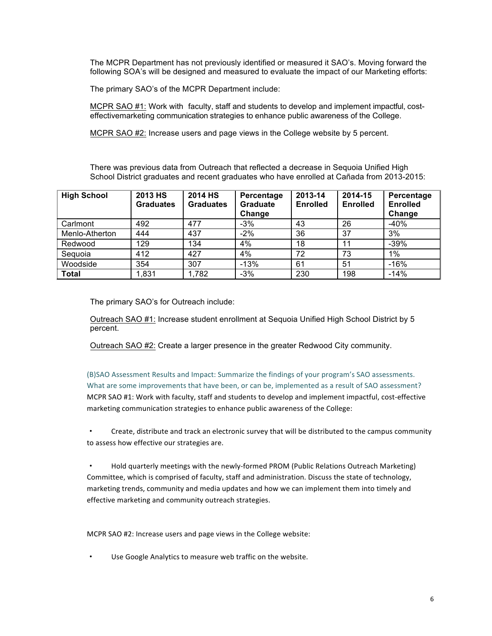The MCPR Department has not previously identified or measured it SAO's. Moving forward the following SOA's will be designed and measured to evaluate the impact of our Marketing efforts:

The primary SAO's of the MCPR Department include:

MCPR SAO #1: Work with faculty, staff and students to develop and implement impactful, costeffectivemarketing communication strategies to enhance public awareness of the College.

MCPR SAO #2: Increase users and page views in the College website by 5 percent.

There was previous data from Outreach that reflected a decrease in Sequoia Unified High School District graduates and recent graduates who have enrolled at Cañada from 2013-2015:

| <b>High School</b> | 2013 HS<br><b>Graduates</b> | 2014 HS<br><b>Graduates</b> | Percentage<br><b>Graduate</b><br>Change | 2013-14<br><b>Enrolled</b> | 2014-15<br><b>Enrolled</b> | Percentage<br><b>Enrolled</b><br>Change |
|--------------------|-----------------------------|-----------------------------|-----------------------------------------|----------------------------|----------------------------|-----------------------------------------|
| Carlmont           | 492                         | 477                         | $-3%$                                   | 43                         | 26                         | $-40%$                                  |
| Menlo-Atherton     | 444                         | 437                         | $-2%$                                   | 36                         | 37                         | 3%                                      |
| Redwood            | 129                         | 134                         | 4%                                      | 18                         | 11                         | $-39%$                                  |
| Seguoia            | 412                         | 427                         | 4%                                      | 72                         | 73                         | 1%                                      |
| Woodside           | 354                         | 307                         | $-13%$                                  | 61                         | 51                         | $-16%$                                  |
| Total              | 1,831                       | 1,782                       | $-3%$                                   | 230                        | 198                        | $-14%$                                  |

The primary SAO's for Outreach include:

Outreach SAO #1: Increase student enrollment at Sequoia Unified High School District by 5 percent.

Outreach SAO #2: Create a larger presence in the greater Redwood City community.

(B)SAO Assessment Results and Impact: Summarize the findings of your program's SAO assessments. What are some improvements that have been, or can be, implemented as a result of SAO assessment? MCPR SAO #1: Work with faculty, staff and students to develop and implement impactful, cost-effective marketing communication strategies to enhance public awareness of the College:

• Create, distribute and track an electronic survey that will be distributed to the campus community to assess how effective our strategies are.

Hold quarterly meetings with the newly-formed PROM (Public Relations Outreach Marketing) Committee, which is comprised of faculty, staff and administration. Discuss the state of technology, marketing trends, community and media updates and how we can implement them into timely and effective marketing and community outreach strategies.

MCPR SAO #2: Increase users and page views in the College website:

Use Google Analytics to measure web traffic on the website.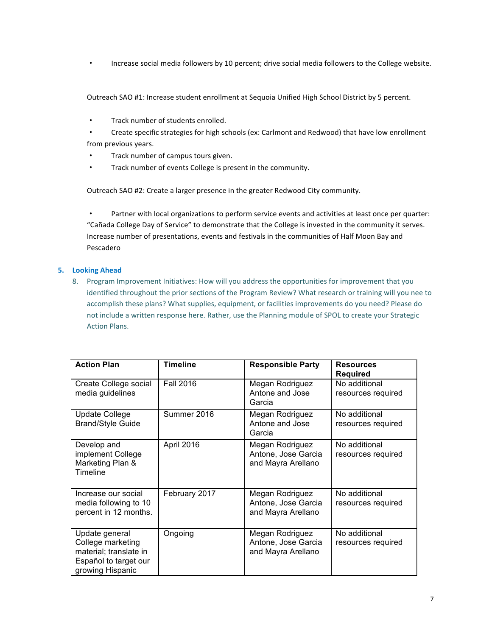Increase social media followers by 10 percent; drive social media followers to the College website.

Outreach SAO #1: Increase student enrollment at Sequoia Unified High School District by 5 percent.

- · Track number of students enrolled.
- Create specific strategies for high schools (ex: Carlmont and Redwood) that have low enrollment from previous years.
- Track number of campus tours given.
- Track number of events College is present in the community.

Outreach SAO #2: Create a larger presence in the greater Redwood City community.

Partner with local organizations to perform service events and activities at least once per quarter: "Cañada College Day of Service" to demonstrate that the College is invested in the community it serves. Increase number of presentations, events and festivals in the communities of Half Moon Bay and Pescadero

# **5. Looking Ahead**

8. Program Improvement Initiatives: How will you address the opportunities for improvement that you identified throughout the prior sections of the Program Review? What research or training will you nee to accomplish these plans? What supplies, equipment, or facilities improvements do you need? Please do not include a written response here. Rather, use the Planning module of SPOL to create your Strategic **Action Plans.** 

| <b>Action Plan</b>                                                                                         | <b>Timeline</b>  | <b>Responsible Party</b>                                     | <b>Resources</b><br><b>Required</b> |
|------------------------------------------------------------------------------------------------------------|------------------|--------------------------------------------------------------|-------------------------------------|
| Create College social<br>media guidelines                                                                  | <b>Fall 2016</b> | Megan Rodriguez<br>Antone and Jose<br>Garcia                 | No additional<br>resources required |
| <b>Update College</b><br><b>Brand/Style Guide</b>                                                          | Summer 2016      | Megan Rodriguez<br>Antone and Jose<br>Garcia                 | No additional<br>resources required |
| Develop and<br>implement College<br>Marketing Plan &<br>Timeline                                           | April 2016       | Megan Rodriguez<br>Antone, Jose Garcia<br>and Mayra Arellano | No additional<br>resources required |
| Increase our social<br>media following to 10<br>percent in 12 months.                                      | February 2017    | Megan Rodriguez<br>Antone, Jose Garcia<br>and Mayra Arellano | No additional<br>resources required |
| Update general<br>College marketing<br>material; translate in<br>Español to target our<br>growing Hispanic | Ongoing          | Megan Rodriguez<br>Antone, Jose Garcia<br>and Mayra Arellano | No additional<br>resources required |